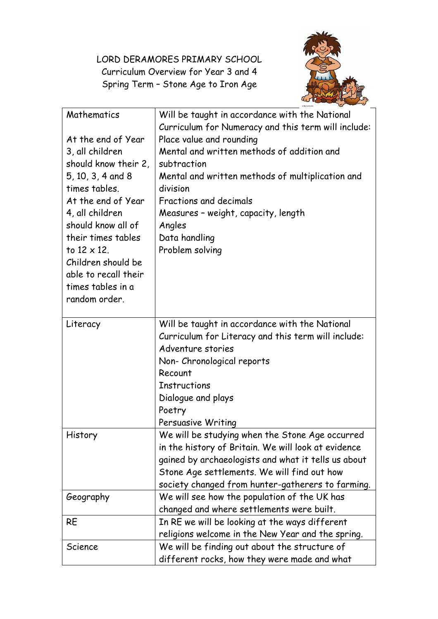LORD DERAMORES PRIMARY SCHOOL Curriculum Overview for Year 3 and 4 Spring Term – Stone Age to Iron Age



| Mathematics                               | Will be taught in accordance with the National<br>Curriculum for Numeracy and this term will include: |
|-------------------------------------------|-------------------------------------------------------------------------------------------------------|
| At the end of Year                        | Place value and rounding                                                                              |
| 3, all children                           | Mental and written methods of addition and                                                            |
| should know their 2,                      | subtraction                                                                                           |
| 5, 10, 3, 4 and 8                         |                                                                                                       |
| times tables.                             | Mental and written methods of multiplication and<br>division                                          |
| At the end of Year                        | Fractions and decimals                                                                                |
|                                           |                                                                                                       |
| 4, all children<br>should know all of     | Measures - weight, capacity, length                                                                   |
|                                           | Angles                                                                                                |
| their times tables<br>to $12 \times 12$ . | Data handling                                                                                         |
|                                           | Problem solving                                                                                       |
| Children should be                        |                                                                                                       |
| able to recall their                      |                                                                                                       |
| times tables in a                         |                                                                                                       |
| random order.                             |                                                                                                       |
| Literacy                                  | Will be taught in accordance with the National                                                        |
|                                           | Curriculum for Literacy and this term will include:                                                   |
|                                           | Adventure stories                                                                                     |
|                                           | Non- Chronological reports                                                                            |
|                                           | Recount                                                                                               |
|                                           | <b>Instructions</b>                                                                                   |
|                                           | Dialogue and plays                                                                                    |
|                                           | Poetry                                                                                                |
|                                           | Persuasive Writing                                                                                    |
| History                                   | We will be studying when the Stone Age occurred                                                       |
|                                           | in the history of Britain. We will look at evidence                                                   |
|                                           | gained by archaeologists and what it tells us about                                                   |
|                                           | Stone Age settlements. We will find out how                                                           |
|                                           | society changed from hunter-gatherers to farming.                                                     |
| Geography                                 | We will see how the population of the UK has                                                          |
|                                           | changed and where settlements were built.                                                             |
| <b>RE</b>                                 | In RE we will be looking at the ways different                                                        |
|                                           | religions welcome in the New Year and the spring.                                                     |
| Science                                   | We will be finding out about the structure of                                                         |
|                                           | different rocks, how they were made and what                                                          |